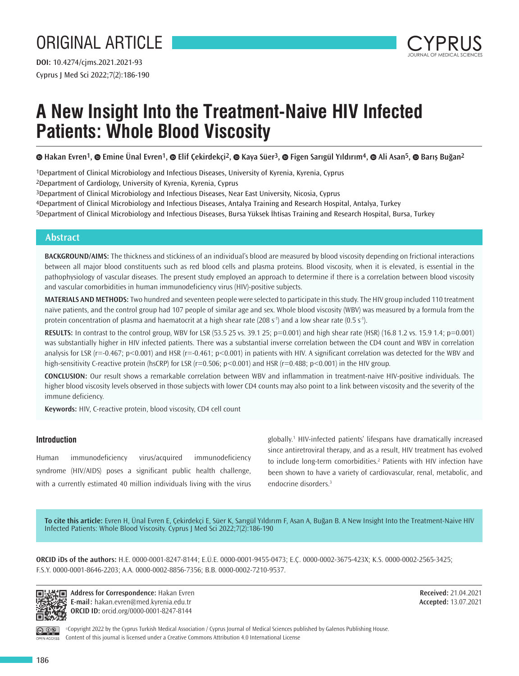# ORIGINAL ARTICLE

Cyprus J Med Sci 2022;7(2):186-190 **DOI:** 10.4274/cjms.2021.2021-93



# **A New Insight Into the Treatment-Naive HIV Infected Patients: Whole Blood Viscosity**

**©**Hakan Evren<sup>1</sup>, © Emine Ünal Evren<sup>1</sup>, © Elif Çekirdekçi<sup>2</sup>, © Kaya Süer<sup>3</sup>, © Figen Sarıgül Yıldırım<sup>4</sup>, © Ali Asan<sup>5</sup>, © Barış Buğan<sup>2</sup>

1Department of Clinical Microbiology and Infectious Diseases, University of Kyrenia, Kyrenia, Cyprus

2Department of Cardiology, University of Kyrenia, Kyrenia, Cyprus

3Department of Clinical Microbiology and Infectious Diseases, Near East University, Nicosia, Cyprus

4Department of Clinical Microbiology and Infectious Diseases, Antalya Training and Research Hospital, Antalya, Turkey

5Department of Clinical Microbiology and Infectious Diseases, Bursa Yüksek İhtisas Training and Research Hospital, Bursa, Turkey

# **Abstract**

**BACKGROUND/AIMS:** The thickness and stickiness of an individual's blood are measured by blood viscosity depending on frictional interactions between all major blood constituents such as red blood cells and plasma proteins. Blood viscosity, when it is elevated, is essential in the pathophysiology of vascular diseases. The present study employed an approach to determine if there is a correlation between blood viscosity and vascular comorbidities in human immunodeficiency virus (HIV)-positive subjects.

**MATERIALS AND METHODS:** Two hundred and seventeen people were selected to participate in this study. The HIV group included 110 treatment naïve patients, and the control group had 107 people of similar age and sex. Whole blood viscosity (WBV) was measured by a formula from the protein concentration of plasma and haematocrit at a high shear rate (208 s<sup>-1</sup>) and a low shear rate (0.5 s<sup>-1</sup>).

**RESULTS:** In contrast to the control group, WBV for LSR (53.5 25 vs. 39.1 25; p=0.001) and high shear rate (HSR) (16.8 1.2 vs. 15.9 1.4; p=0.001) was substantially higher in HIV infected patients. There was a substantial inverse correlation between the CD4 count and WBV in correlation analysis for LSR (r=-0.467; p<0.001) and HSR (r=-0.461; p<0.001) in patients with HIV. A significant correlation was detected for the WBV and high-sensitivity C-reactive protein (hsCRP) for LSR (r=0.506; p<0.001) and HSR (r=0.488; p<0.001) in the HIV group.

**CONCLUSION:** Our result shows a remarkable correlation between WBV and inflammation in treatment-naive HIV-positive individuals. The higher blood viscosity levels observed in those subjects with lower CD4 counts may also point to a link between viscosity and the severity of the immune deficiency.

**Keywords:** HIV, C-reactive protein, blood viscosity, CD4 cell count

# **Introduction**

Human immunodeficiency virus/acquired immunodeficiency syndrome (HIV/AIDS) poses a significant public health challenge, with a currently estimated 40 million individuals living with the virus globally.<sup>1</sup> HIV-infected patients' lifespans have dramatically increased since antiretroviral therapy, and as a result, HIV treatment has evolved to include long-term comorbidities.<sup>2</sup> Patients with HIV infection have been shown to have a variety of cardiovascular, renal, metabolic, and endocrine disorders.<sup>3</sup>

**To cite this article:** Evren H, Ünal Evren E, Çekirdekçi E, Süer K, Sarıgül Yıldırım F, Asan A, Buğan B. A New Insight Into the Treatment-Naive HIV Infected Patients: Whole Blood Viscosity. Cyprus J Med Sci 2022;7(2):186-190

**ORCID iDs of the authors:** H.E. 0000-0001-8247-8144; E.Ü.E. 0000-0001-9455-0473; E.Ç. 0000-0002-3675-423X; K.S. 0000-0002-2565-3425; F.S.Y. 0000-0001-8646-2203; A.A. 0000-0002-8856-7356; B.B. 0000-0002-7210-9537.



**Address for Correspondence:** Hakan Evren О. **E-mail:** hakan.evren@med.kyrenia.edu.tr **ORCID ID:** orcid.org/0000-0001-8247-8144

**Received:** 21.04.2021 **Accepted:** 13.07.2021

PEN ACCESS

©Copyright 2022 by the Cyprus Turkish Medical Association / Cyprus Journal of Medical Sciences published by Galenos Publishing House. Content of this journal is licensed under a Creative Commons Attribution 4.0 International License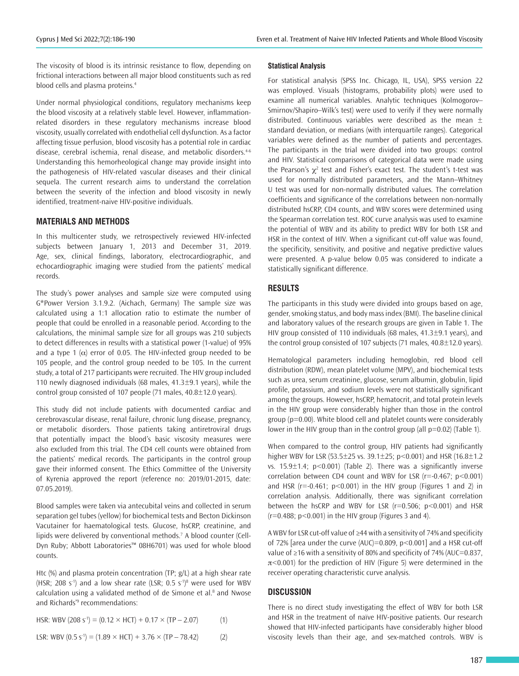The viscosity of blood is its intrinsic resistance to flow, depending on frictional interactions between all major blood constituents such as red blood cells and plasma proteins.<sup>4</sup>

Under normal physiological conditions, regulatory mechanisms keep the blood viscosity at a relatively stable level. However, inflammationrelated disorders in these regulatory mechanisms increase blood viscosity, usually correlated with endothelial cell dysfunction. As a factor affecting tissue perfusion, blood viscosity has a potential role in cardiac disease, cerebral ischemia, renal disease, and metabolic disorders.<sup>4-6</sup> Understanding this hemorheological change may provide insight into the pathogenesis of HIV-related vascular diseases and their clinical sequela. The current research aims to understand the correlation between the severity of the infection and blood viscosity in newly identified, treatment-naive HIV-positive individuals.

## **MATERIALS AND METHODS**

In this multicenter study, we retrospectively reviewed HIV-infected subjects between January 1, 2013 and December 31, 2019. Age, sex, clinical findings, laboratory, electrocardiographic, and echocardiographic imaging were studied from the patients' medical records.

The study's power analyses and sample size were computed using G\*Power Version 3.1.9.2. (Aichach, Germany) The sample size was calculated using a 1:1 allocation ratio to estimate the number of people that could be enrolled in a reasonable period. According to the calculations, the minimal sample size for all groups was 210 subjects to detect differences in results with a statistical power (1-value) of 95% and a type 1  $(\alpha)$  error of 0.05. The HIV-infected group needed to be 105 people, and the control group needed to be 105. In the current study, a total of 217 participants were recruited. The HIV group included 110 newly diagnosed individuals (68 males,  $41.3 \pm 9.1$  years), while the control group consisted of 107 people (71 males, 40.8±12.0 years).

This study did not include patients with documented cardiac and cerebrovascular disease, renal failure, chronic lung disease, pregnancy, or metabolic disorders. Those patients taking antiretroviral drugs that potentially impact the blood's basic viscosity measures were also excluded from this trial. The CD4 cell counts were obtained from the patients' medical records. The participants in the control group gave their informed consent. The Ethics Committee of the University of Kyrenia approved the report (reference no: 2019/01-2015, date: 07.05.2019).

Blood samples were taken via antecubital veins and collected in serum separation gel tubes (yellow) for biochemical tests and Becton Dickinson Vacutainer for haematological tests. Glucose, hsCRP, creatinine, and lipids were delivered by conventional methods.<sup>7</sup> A blood counter (Cell-Dyn Ruby; Abbott Laboratories™ 08H6701) was used for whole blood counts.

Htc (%) and plasma protein concentration (TP; g/L) at a high shear rate (HSR; 208 s<sup>-1</sup>) and a low shear rate (LSR; 0.5 s<sup>-1)8</sup> were used for WBV calculation using a validated method of de Simone et al.<sup>8</sup> and Nwose and Richards'<sup>9</sup> recommendations:

$$
HSR: WBV (208 s-1) = (0.12 \times HCT) + 0.17 \times (TP - 2.07)
$$
 (1)

LSR: WBV (0.5 s-1) = (1.89 × HCT) + 3.76 × (TP – 78.42) (2)

## **Statistical Analysis**

For statistical analysis (SPSS Inc. Chicago, IL, USA), SPSS version 22 was employed. Visuals (histograms, probability plots) were used to examine all numerical variables. Analytic techniques (Kolmogorov– Smirnov/Shapiro–Wilk's test) were used to verify if they were normally distributed. Continuous variables were described as the mean  $\pm$ standard deviation, or medians (with interquartile ranges). Categorical variables were defined as the number of patients and percentages. The participants in the trial were divided into two groups: control and HIV. Statistical comparisons of categorical data were made using the Pearson's  $\chi^2$  test and Fisher's exact test. The student's t-test was used for normally distributed parameters, and the Mann–Whitney U test was used for non-normally distributed values. The correlation coefficients and significance of the correlations between non-normally distributed hsCRP, CD4 counts, and WBV scores were determined using the Spearman correlation test. ROC curve analysis was used to examine the potential of WBV and its ability to predict WBV for both LSR and HSR in the context of HIV. When a significant cut-off value was found, the specificity, sensitivity, and positive and negative predictive values were presented. A p-value below 0.05 was considered to indicate a statistically significant difference.

# **RESULTS**

The participants in this study were divided into groups based on age, gender, smoking status, and body mass index (BMI). The baseline clinical and laboratory values of the research groups are given in Table 1. The HIV group consisted of 110 individuals (68 males, 41.3±9.1 years), and the control group consisted of 107 subjects (71 males, 40.8±12.0 years).

Hematological parameters including hemoglobin, red blood cell distribution (RDW), mean platelet volume (MPV), and biochemical tests such as urea, serum creatinine, glucose, serum albumin, globulin, lipid profile, potassium, and sodium levels were not statistically significant among the groups. However, hsCRP, hematocrit, and total protein levels in the HIV group were considerably higher than those in the control group (p=0.00). White blood cell and platelet counts were considerably lower in the HIV group than in the control group (all  $p=0.02$ ) (Table 1).

When compared to the control group, HIV patients had significantly higher WBV for LSR (53.5±25 vs. 39.1±25; p<0.001) and HSR (16.8±1.2 vs.  $15.9 \pm 1.4$ ;  $p < 0.001$ ) (Table 2). There was a significantly inverse correlation between CD4 count and WBV for LSR ( $r=-0.467$ ;  $p<0.001$ ) and HSR ( $r = -0.461$ ;  $p < 0.001$ ) in the HIV group (Figures 1 and 2) in correlation analysis. Additionally, there was significant correlation between the hsCRP and WBV for LSR ( $r=0.506$ ;  $p<0.001$ ) and HSR  $(r=0.488; p<0.001)$  in the HIV group (Figures 3 and 4).

A WBV for LSR cut-off value of ≥44 with a sensitivity of 74% and specificity of 72% [area under the curve (AUC)=0.809,  $p$ <0.001] and a HSR cut-off value of ≥16 with a sensitivity of 80% and specificity of 74% (AUC=0.837,  $\pi$ <0.001) for the prediction of HIV (Figure 5) were determined in the receiver operating characteristic curve analysis.

#### **DISCUSSION**

There is no direct study investigating the effect of WBV for both LSR and HSR in the treatment of naïve HIV-positive patients. Our research showed that HIV-infected participants have considerably higher blood viscosity levels than their age, and sex-matched controls. WBV is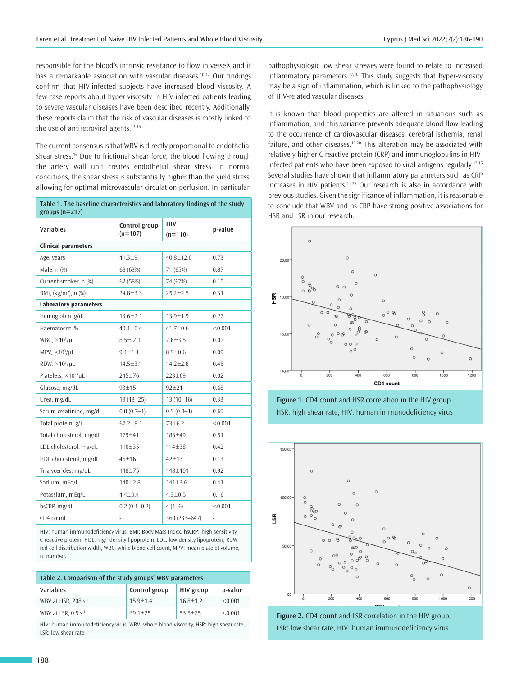responsible for the blood's intrinsic resistance to flow in vessels and it has a remarkable association with vascular diseases.<sup>10-12</sup> Our findings confirm that HIV-infected subjects have increased blood viscosity. A few case reports about hyper-viscosity in HIV-infected patients leading to severe vascular diseases have been described recently. Additionally, these reports claim that the risk of vascular diseases is mostly linked to the use of antiretroviral agents.<sup>13-15</sup>

The current consensus is that WBV is directly proportional to endothelial shear stress.<sup>16</sup> Due to frictional shear force, the blood flowing through the artery wall unit creates endothelial shear stress. In normal conditions, the shear stress is substantially higher than the yield stress, allowing for optimal microvascular circulation perfusion. In particular,

| Table 1. The baseline characteristics and laboratory findings of the study |
|----------------------------------------------------------------------------|
| groups $(n=217)$                                                           |

| <b>Variables</b>                  | Control group<br>$(n=107)$ | <b>HIV</b><br>$(n=110)$ | p-value |  |  |  |
|-----------------------------------|----------------------------|-------------------------|---------|--|--|--|
| <b>Clinical parameters</b>        |                            |                         |         |  |  |  |
| Age, years                        | $41.3 + 9.1$               | $40.8 \pm 12.0$         | 0.73    |  |  |  |
| Male, n (%)                       | 68 (63%)                   | 71 (65%)                | 0.87    |  |  |  |
| Current smoker, n (%)             | 62 (58%)                   | 74 (67%)                | 0.15    |  |  |  |
| BMI, (kg/m <sup>2</sup> ), n (%)  | $24.8 \pm 3.3$             | $25.2 \pm 2.5$          | 0.31    |  |  |  |
| <b>Laboratory parameters</b>      |                            |                         |         |  |  |  |
| Hemoglobin, g/dL                  | $13.6 \pm 2.1$             | $13.9 \pm 1.9$          | 0.27    |  |  |  |
| Haematocrit, %                    | $40.1 \pm 0.4$             | $41.7 \pm 0.6$          | < 0.001 |  |  |  |
| WBC, $\times 10^3$ /uL            | $8.5 \pm 2.1$              | $7.6 + 3.5$             | 0.02    |  |  |  |
| MPV, $\times$ 10 <sup>3</sup> /uL | $9.1 \pm 1.1$              | $8.9 + 0.6$             | 0.09    |  |  |  |
| RDW, $\times 10^3/\mu L$          | $14.5 \pm 3.1$             | $14.2 \pm 2.8$          | 0.45    |  |  |  |
| Platelets, ×10 <sup>3</sup> /uL   | 245±76                     | $223 \pm 69$            | 0.02    |  |  |  |
| Glucose, mg/dL                    | 93±15                      | $92 + 21$               | 0.68    |  |  |  |
| Urea, mg/dL                       | $19(13 - 25)$              | $13(10-16)$             | 0.33    |  |  |  |
| Serum creatinine, mg/dL           | $0.8(0.7-1)$               | $0.9(0.8-1)$            | 0.69    |  |  |  |
| Total protein, g/L                | $67.2 \pm 8.1$             | $73 + 6.2$              | < 0.001 |  |  |  |
| Total cholesterol, mg/dL          | 179±41                     | 183±49                  | 0.51    |  |  |  |
| LDL cholesterol, mg/dL            | 110±35                     | 114±38                  | 0.42    |  |  |  |
| HDL cholesterol, mg/dL            | 45±16                      | $42 + 13$               | 0.13    |  |  |  |
| Triglycerides, mg/dL              | 148±75                     | 148±101                 | 0.92    |  |  |  |
| Sodium, mEg/L                     | $140 \pm 2.8$              | 141±3.6                 | 0.41    |  |  |  |
| Potassium, mEq/L                  | $4.4 \pm 0.4$              | $4.3 \pm 0.5$           | 0.16    |  |  |  |
| hsCRP, mg/dL                      | $0.2(0.1 - 0.2)$           | $4(1-6)$                | < 0.001 |  |  |  |
| CD4 count                         | ÷,                         | 360 (233-647)           | ۰       |  |  |  |

HIV: human immunodeficiency virus, BMI: Body Mass Index, hsCRP: high-sensitivity C-reactive protein, HDL: high-density lipoprotein, LDL: low-density lipoprotein, RDW: red cell distribution width, WBC: white blood cell count, MPV: mean platelet volume, n: number.

| Table 2. Comparison of the study groups' WBV parameters                              |               |              |         |  |  |
|--------------------------------------------------------------------------------------|---------------|--------------|---------|--|--|
| <b>Variables</b>                                                                     | Control group | HIV group    | p-value |  |  |
| WBV at HSR, 208 s <sup>-1</sup>                                                      | $15.9 + 1.4$  | $16.8 + 1.2$ | < 0.001 |  |  |
| WBV at LSR, $0.5 s^{-1}$                                                             | $39.1 + 25$   | $53.5 + 25$  | < 0.001 |  |  |
| HIV: human immunodeficiency virus. WBV: whole blood viscosity. HSR: high shear rate. |               |              |         |  |  |

HIV: human immunodeficiency virus, WBV: whole blood viscosity, HSR: high shear rate, LSR: low shear rate

pathophysiologic low shear stresses were found to relate to increased inflammatory parameters.<sup>17,18</sup> This study suggests that hyper-viscosity may be a sign of inflammation, which is linked to the pathophysiology of HIV-related vascular diseases.

It is known that blood properties are altered in situations such as inflammation, and this variance prevents adequate blood flow leading to the occurrence of cardiovascular diseases, cerebral ischemia, renal failure, and other diseases.<sup>19,20</sup> This alteration may be associated with relatively higher C-reactive protein (CRP) and immunoglobulins in HIVinfected patients who have been exposed to viral antigens regularly.13,15 Several studies have shown that inflammatory parameters such as CRP increases in HIV patients.<sup>21-23</sup> Our research is also in accordance with previous studies. Given the significance of inflammation, it is reasonable to conclude that WBV and hs-CRP have strong positive associations for HSR and LSR in our research.



**Figure 1.** CD4 count and HSR correlation in the HIV group. HSR: high shear rate, HIV: human immunodeficiency virus



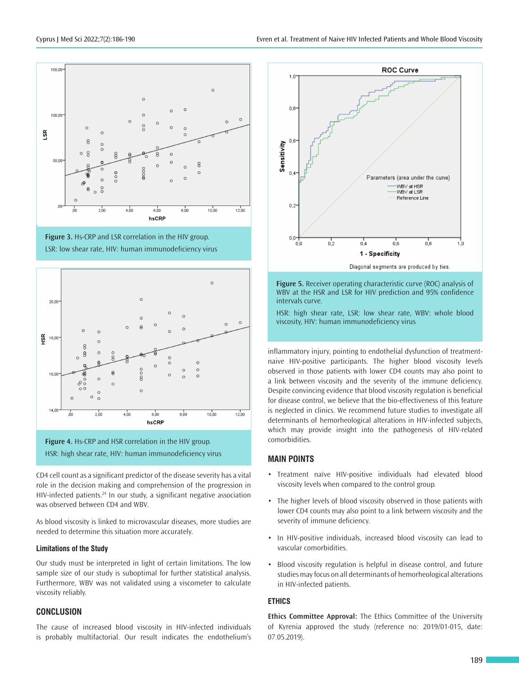





**Figure 4.** Hs-CRP and HSR correlation in the HIV group. HSR: high shear rate, HIV: human immunodeficiency virus

CD4 cell count as a significant predictor of the disease severity has a vital role in the decision making and comprehension of the progression in HIV-infected patients.<sup>24</sup> In our study, a significant negative association was observed between CD4 and WBV.

As blood viscosity is linked to microvascular diseases, more studies are needed to determine this situation more accurately.

#### **Limitations of the Study**

Our study must be interpreted in light of certain limitations. The low sample size of our study is suboptimal for further statistical analysis. Furthermore, WBV was not validated using a viscometer to calculate viscosity reliably.

### **CONCLUSION**

The cause of increased blood viscosity in HIV-infected individuals is probably multifactorial. Our result indicates the endothelium's



**Figure 5.** Receiver operating characteristic curve (ROC) analysis of WBV at the HSR and LSR for HIV prediction and 95% confidence intervals curve.

HSR: high shear rate, LSR: low shear rate, WBV: whole blood viscosity, HIV: human immunodeficiency virus

inflammatory injury, pointing to endothelial dysfunction of treatmentnaive HIV-positive participants. The higher blood viscosity levels observed in those patients with lower CD4 counts may also point to a link between viscosity and the severity of the immune deficiency. Despite convincing evidence that blood viscosity regulation is beneficial for disease control, we believe that the bio-effectiveness of this feature is neglected in clinics. We recommend future studies to investigate all determinants of hemorheological alterations in HIV-infected subjects, which may provide insight into the pathogenesis of HIV-related comorbidities.

### **MAIN POINTS**

- Treatment naïve HIV-positive individuals had elevated blood viscosity levels when compared to the control group.
- The higher levels of blood viscosity observed in those patients with lower CD4 counts may also point to a link between viscosity and the severity of immune deficiency.
- In HIV-positive individuals, increased blood viscosity can lead to vascular comorbidities.
- Blood viscosity regulation is helpful in disease control, and future studies may focus on all determinants of hemorheological alterations in HIV-infected patients.

#### **ETHICS**

**Ethics Committee Approval:** The Ethics Committee of the University of Kyrenia approved the study (reference no: 2019/01-015, date: 07.05.2019).